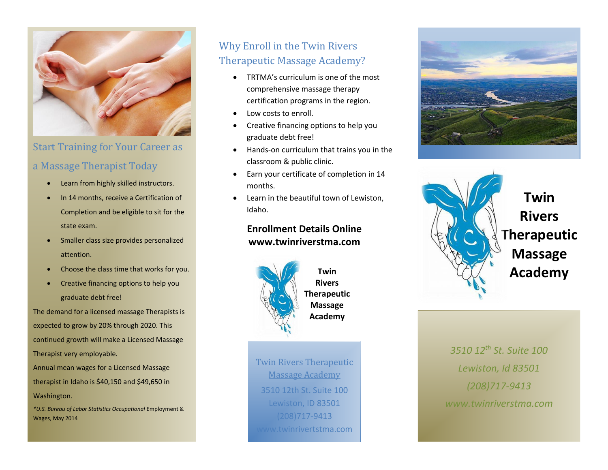

# Start Training for Your Career as

# a Massage Therapist Today

- Learn from highly skilled instructors.
- In 14 months, receive a Certification of Completion and be eligible to sit for the state exam.
- Smaller class size provides personalized attention.
- Choose the class time that works for you.
- Creative financing options to help you graduate debt free!

The demand for a licensed massage Therapists is expected to grow by 20% through 2020. This continued growth will make a Licensed Massage Therapist very employable. Annual mean wages for a Licensed Massage

therapist in Idaho is \$40,150 and \$49,650 in Washington.

*\*U.S. Bureau of Labor Statistics Occupational* Employment & Wages, May 2014

# Why Enroll in the Twin Rivers Therapeutic Massage Academy?

- TRTMA's curriculum is one of the most comprehensive massage therapy certification programs in the region.
- Low costs to enroll.
- Creative financing options to help you graduate debt free!
- Hands-on curriculum that trains you in the classroom & public clinic.
- Earn your certificate of completion in 14 months.
- Learn in the beautiful town of Lewiston, Idaho.

# **Enrollment Details Online www.twinriverstma.com**



**Rivers Therapeutic Massage Academy**

Twin Rivers Therapeutic Massage Academy 3510 12th St. Suite 100 Lewiston, ID 83501 (208)717-9413 www.twinrivertstma.com





*3510 12th St. Suite 100 Lewiston, Id 83501 (208)717-9413 www.twinriverstma.com*